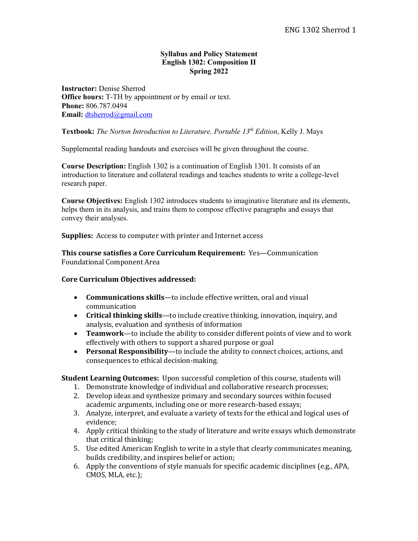### **Syllabus and Policy Statement English 1302: Composition II Spring 2022**

**Instructor:** Denise Sherrod **Office hours:** T-TH by appointment or by email or text. **Phone:** 806.787.0494 **Email:** dtsherrod@gmail.com

### **Textbook:** *The Norton Introduction to Literature, Portable 13th Edition*, Kelly J. Mays

Supplemental reading handouts and exercises will be given throughout the course.

**Course Description:** English 1302 is a continuation of English 1301. It consists of an introduction to literature and collateral readings and teaches students to write a college-level research paper.

**Course Objectives:** English 1302 introduces students to imaginative literature and its elements, helps them in its analysis, and trains them to compose effective paragraphs and essays that convey their analyses.

**Supplies:** Access to computer with printer and Internet access

**This course satisfies a Core Curriculum Requirement:** Yes—Communication Foundational Component Area

### **Core Curriculum Objectives addressed:**

- **Communications skills**—to include effective written, oral and visual communication
- Critical thinking skills-to include creative thinking, innovation, inquiry, and analysis, evaluation and synthesis of information
- Teamwork—to include the ability to consider different points of view and to work effectively with others to support a shared purpose or goal
- **Personal Responsibility**—to include the ability to connect choices, actions, and consequences to ethical decision-making.

**Student Learning Outcomes:** Upon successful completion of this course, students will

- 1. Demonstrate knowledge of individual and collaborative research processes;
- 2. Develop ideas and synthesize primary and secondary sources within focused academic arguments, including one or more research-based essays;
- 3. Analyze, interpret, and evaluate a variety of texts for the ethical and logical uses of evidence;
- 4. Apply critical thinking to the study of literature and write essays which demonstrate that critical thinking;
- 5. Use edited American English to write in a style that clearly communicates meaning, builds credibility, and inspires belief or action;
- 6. Apply the conventions of style manuals for specific academic disciplines (e.g., APA, CMOS, MLA, etc.);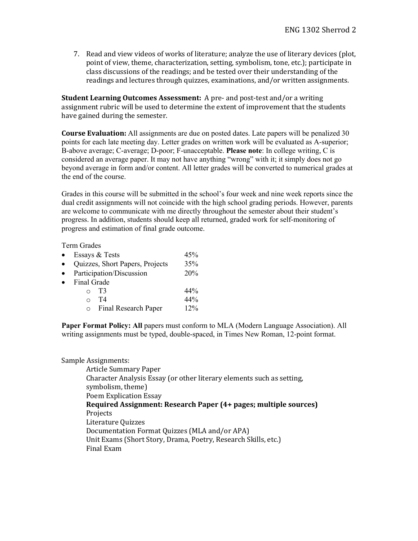7. Read and view videos of works of literature; analyze the use of literary devices (plot, point of view, theme, characterization, setting, symbolism, tone, etc.); participate in class discussions of the readings; and be tested over their understanding of the readings and lectures through quizzes, examinations, and/or written assignments.

**Student Learning Outcomes Assessment:** A pre- and post-test and/or a writing assignment rubric will be used to determine the extent of improvement that the students have gained during the semester.

**Course Evaluation:** All assignments are due on posted dates. Late papers will be penalized 30 points for each late meeting day. Letter grades on written work will be evaluated as A-superior; B-above average; C-average; D-poor; F-unacceptable. **Please note**: In college writing, C is considered an average paper. It may not have anything "wrong" with it; it simply does not go beyond average in form and/or content. All letter grades will be converted to numerical grades at the end of the course.

Grades in this course will be submitted in the school's four week and nine week reports since the dual credit assignments will not coincide with the high school grading periods. However, parents are welcome to communicate with me directly throughout the semester about their student's progress. In addition, students should keep all returned, graded work for self-monitoring of progress and estimation of final grade outcome.

Term Grades

| Essays & Tests                  | 45% |
|---------------------------------|-----|
| Quizzes, Short Papers, Projects | 35% |
| Participation/Discussion        | 20% |
| Final Grade                     |     |
| T3                              | 44% |
| T4<br>$\cap$                    | 44% |
| Final Research Paper            | 12% |
|                                 |     |

**Paper Format Policy: All** papers must conform to MLA (Modern Language Association). All writing assignments must be typed, double-spaced, in Times New Roman, 12-point format.

### Sample Assignments:

Article Summary Paper Character Analysis Essay (or other literary elements such as setting, symbolism, theme) Poem Explication Essay **Required Assignment: Research Paper (4+ pages; multiple sources)** Projects Literature Ouizzes Documentation Format Quizzes (MLA and/or APA) Unit Exams (Short Story, Drama, Poetry, Research Skills, etc.) Final Exam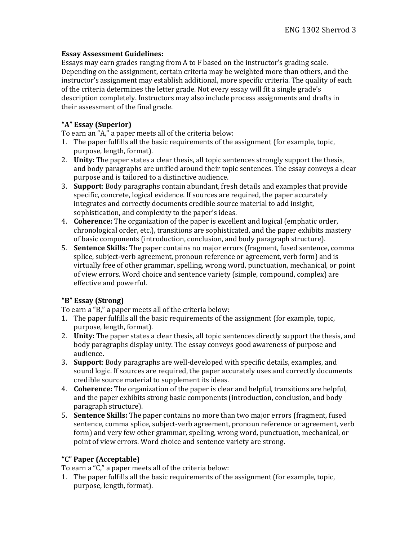## **Essay Assessment Guidelines:**

Essays may earn grades ranging from A to F based on the instructor's grading scale. Depending on the assignment, certain criteria may be weighted more than others, and the instructor's assignment may establish additional, more specific criteria. The quality of each of the criteria determines the letter grade. Not every essay will fit a single grade's description completely. Instructors may also include process assignments and drafts in their assessment of the final grade.

# **"A" Essay (Superior)**

To earn an "A," a paper meets all of the criteria below:

- 1. The paper fulfills all the basic requirements of the assignment (for example, topic, purpose, length, format).
- 2. **Unity:** The paper states a clear thesis, all topic sentences strongly support the thesis, and body paragraphs are unified around their topic sentences. The essay conveys a clear purpose and is tailored to a distinctive audience.
- 3. **Support:** Body paragraphs contain abundant, fresh details and examples that provide specific, concrete, logical evidence. If sources are required, the paper accurately integrates and correctly documents credible source material to add insight, sophistication, and complexity to the paper's ideas.
- 4. **Coherence:** The organization of the paper is excellent and logical (emphatic order, chronological order, etc.), transitions are sophisticated, and the paper exhibits mastery of basic components (introduction, conclusion, and body paragraph structure).
- 5. **Sentence Skills:** The paper contains no major errors (fragment, fused sentence, comma splice, subject-verb agreement, pronoun reference or agreement, verb form) and is virtually free of other grammar, spelling, wrong word, punctuation, mechanical, or point of view errors. Word choice and sentence variety (simple, compound, complex) are effective and powerful.

# **"B" Essay (Strong)**

To earn a "B," a paper meets all of the criteria below:

- 1. The paper fulfills all the basic requirements of the assignment (for example, topic, purpose, length, format).
- 2. **Unity:** The paper states a clear thesis, all topic sentences directly support the thesis, and body paragraphs display unity. The essay conveys good awareness of purpose and audience.
- 3. **Support**: Body paragraphs are well-developed with specific details, examples, and sound logic. If sources are required, the paper accurately uses and correctly documents credible source material to supplement its ideas.
- 4. **Coherence:** The organization of the paper is clear and helpful, transitions are helpful, and the paper exhibits strong basic components (introduction, conclusion, and body paragraph structure).
- 5. **Sentence Skills:** The paper contains no more than two major errors (fragment, fused sentence, comma splice, subject-verb agreement, pronoun reference or agreement, verb form) and very few other grammar, spelling, wrong word, punctuation, mechanical, or point of view errors. Word choice and sentence variety are strong.

# **"C" Paper (Acceptable)**

To earn a "C," a paper meets all of the criteria below:

1. The paper fulfills all the basic requirements of the assignment (for example, topic, purpose, length, format).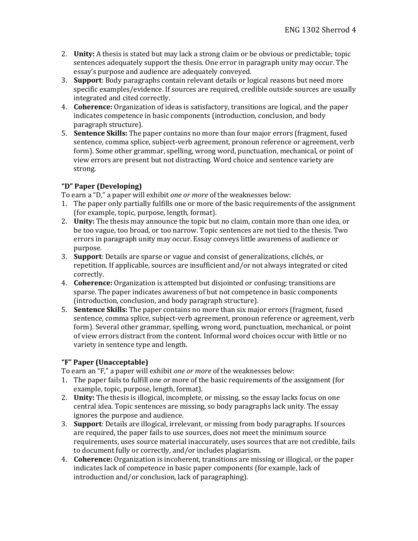- 2. **Unity:** A thesis is stated but may lack a strong claim or be obvious or predictable; topic sentences adequately support the thesis. One error in paragraph unity may occur. The essay's purpose and audience are adequately conveyed.
- 3. **Support**: Body paragraphs contain relevant details or logical reasons but need more specific examples/evidence. If sources are required, credible outside sources are usually integrated and cited correctly.
- 4. **Coherence:** Organization of ideas is satisfactory, transitions are logical, and the paper indicates competence in basic components (introduction, conclusion, and body paragraph structure).
- 5. **Sentence Skills:** The paper contains no more than four major errors (fragment, fused sentence, comma splice, subject-verb agreement, pronoun reference or agreement, verb form). Some other grammar, spelling, wrong word, punctuation, mechanical, or point of view errors are present but not distracting. Word choice and sentence variety are strong.

# **"D" Paper (Developing)**

To earn a "D," a paper will exhibit *one* or more of the weaknesses below:

- 1. The paper only partially fulfills one or more of the basic requirements of the assignment (for example, topic, purpose, length, format).
- 2. **Unity:** The thesis may announce the topic but no claim, contain more than one idea, or be too vague, too broad, or too narrow. Topic sentences are not tied to the thesis. Two errors in paragraph unity may occur. Essay conveys little awareness of audience or purpose.
- 3. **Support**: Details are sparse or vague and consist of generalizations, clichés, or repetition. If applicable, sources are insufficient and/or not always integrated or cited correctly.
- 4. **Coherence:** Organization is attempted but disjointed or confusing; transitions are sparse. The paper indicates awareness of but not competence in basic components (introduction, conclusion, and body paragraph structure).
- 5. **Sentence Skills:** The paper contains no more than six major errors (fragment, fused sentence, comma splice, subject-verb agreement, pronoun reference or agreement, verb form). Several other grammar, spelling, wrong word, punctuation, mechanical, or point of view errors distract from the content. Informal word choices occur with little or no variety in sentence type and length.

# **"F" Paper (Unacceptable)**

To earn an "F," a paper will exhibit *one or more* of the weaknesses below:

- 1. The paper fails to fulfill one or more of the basic requirements of the assignment (for example, topic, purpose, length, format).
- 2. **Unity:** The thesis is illogical, incomplete, or missing, so the essay lacks focus on one central idea. Topic sentences are missing, so body paragraphs lack unity. The essay ignores the purpose and audience.
- 3. **Support**: Details are illogical, irrelevant, or missing from body paragraphs. If sources are required, the paper fails to use sources, does not meet the minimum source requirements, uses source material inaccurately, uses sources that are not credible, fails to document fully or correctly, and/or includes plagiarism.
- 4. **Coherence:** Organization is incoherent, transitions are missing or illogical, or the paper indicates lack of competence in basic paper components (for example, lack of introduction and/or conclusion, lack of paragraphing).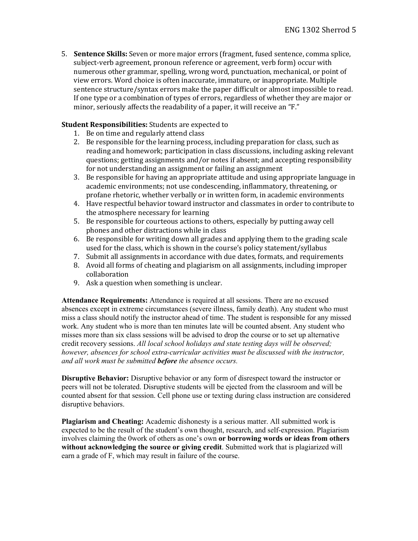5. **Sentence Skills:** Seven or more major errors (fragment, fused sentence, comma splice, subject-verb agreement, pronoun reference or agreement, verb form) occur with numerous other grammar, spelling, wrong word, punctuation, mechanical, or point of view errors. Word choice is often inaccurate, immature, or inappropriate. Multiple sentence structure/syntax errors make the paper difficult or almost impossible to read. If one type or a combination of types of errors, regardless of whether they are major or minor, seriously affects the readability of a paper, it will receive an "F."

## **Student Responsibilities:** Students are expected to

- 1. Be on time and regularly attend class
- 2. Be responsible for the learning process, including preparation for class, such as reading and homework; participation in class discussions, including asking relevant questions; getting assignments and/or notes if absent; and accepting responsibility for not understanding an assignment or failing an assignment
- 3. Be responsible for having an appropriate attitude and using appropriate language in academic environments; not use condescending, inflammatory, threatening, or profane rhetoric, whether verbally or in written form, in academic environments
- 4. Have respectful behavior toward instructor and classmates in order to contribute to the atmosphere necessary for learning
- 5. Be responsible for courteous actions to others, especially by putting away cell phones and other distractions while in class
- 6. Be responsible for writing down all grades and applying them to the grading scale used for the class, which is shown in the course's policy statement/syllabus
- 7. Submit all assignments in accordance with due dates, formats, and requirements
- 8. Avoid all forms of cheating and plagiarism on all assignments, including improper collaboration
- 9. Ask a question when something is unclear.

**Attendance Requirements:** Attendance is required at all sessions. There are no excused absences except in extreme circumstances (severe illness, family death). Any student who must miss a class should notify the instructor ahead of time. The student is responsible for any missed work. Any student who is more than ten minutes late will be counted absent. Any student who misses more than six class sessions will be advised to drop the course or to set up alternative credit recovery sessions. *All local school holidays and state testing days will be observed; however, absences for school extra-curricular activities must be discussed with the instructor, and all work must be submitted before the absence occurs.*

**Disruptive Behavior:** Disruptive behavior or any form of disrespect toward the instructor or peers will not be tolerated. Disruptive students will be ejected from the classroom and will be counted absent for that session. Cell phone use or texting during class instruction are considered disruptive behaviors.

**Plagiarism and Cheating:** Academic dishonesty is a serious matter. All submitted work is expected to be the result of the student's own thought, research, and self-expression. Plagiarism involves claiming the 0work of others as one's own **or borrowing words or ideas from others without acknowledging the source or giving credit**. Submitted work that is plagiarized will earn a grade of F, which may result in failure of the course.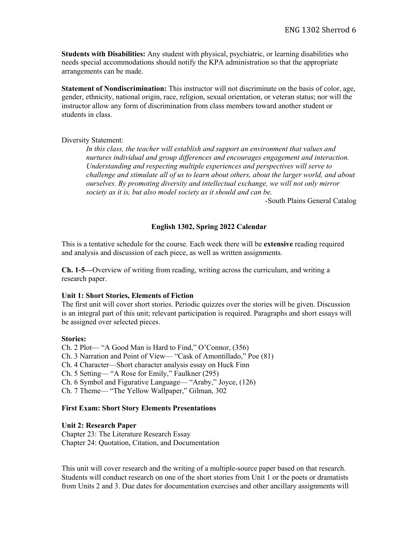**Students with Disabilities:** Any student with physical, psychiatric, or learning disabilities who needs special accommodations should notify the KPA administration so that the appropriate arrangements can be made.

**Statement of Nondiscrimination:** This instructor will not discriminate on the basis of color, age, gender, ethnicity, national origin, race, religion, sexual orientation, or veteran status; nor will the instructor allow any form of discrimination from class members toward another student or students in class.

### Diversity Statement:

*In this class, the teacher will establish and support an environment that values and nurtures individual and group differences and encourages engagement and interaction. Understanding and respecting multiple experiences and perspectives will serve to challenge and stimulate all of us to learn about others, about the larger world, and about ourselves. By promoting diversity and intellectual exchange, we will not only mirror society as it is, but also model society as it should and can be.*

-South Plains General Catalog

### **English 1302, Spring 2022 Calendar**

This is a tentative schedule for the course. Each week there will be **extensive** reading required and analysis and discussion of each piece, as well as written assignments.

**Ch. 1-5—**Overview of writing from reading, writing across the curriculum, and writing a research paper.

#### **Unit 1: Short Stories, Elements of Fiction**

The first unit will cover short stories. Periodic quizzes over the stories will be given. Discussion is an integral part of this unit; relevant participation is required. Paragraphs and short essays will be assigned over selected pieces.

#### **Stories:**

Ch. 2 Plot— "A Good Man is Hard to Find," O'Connor, (356) Ch. 3 Narration and Point of View— "Cask of Amontillado," Poe (81) Ch. 4 Character—Short character analysis essay on Huck Finn Ch. 5 Setting— "A Rose for Emily," Faulkner (295) Ch. 6 Symbol and Figurative Language— "Araby," Joyce, (126) Ch. 7 Theme— "The Yellow Wallpaper," Gilman, 302

### **First Exam: Short Story Elements Presentations**

#### **Unit 2: Research Paper**

Chapter 23: The Literature Research Essay Chapter 24: Quotation, Citation, and Documentation

This unit will cover research and the writing of a multiple-source paper based on that research. Students will conduct research on one of the short stories from Unit 1 or the poets or dramatists from Units 2 and 3. Due dates for documentation exercises and other ancillary assignments will